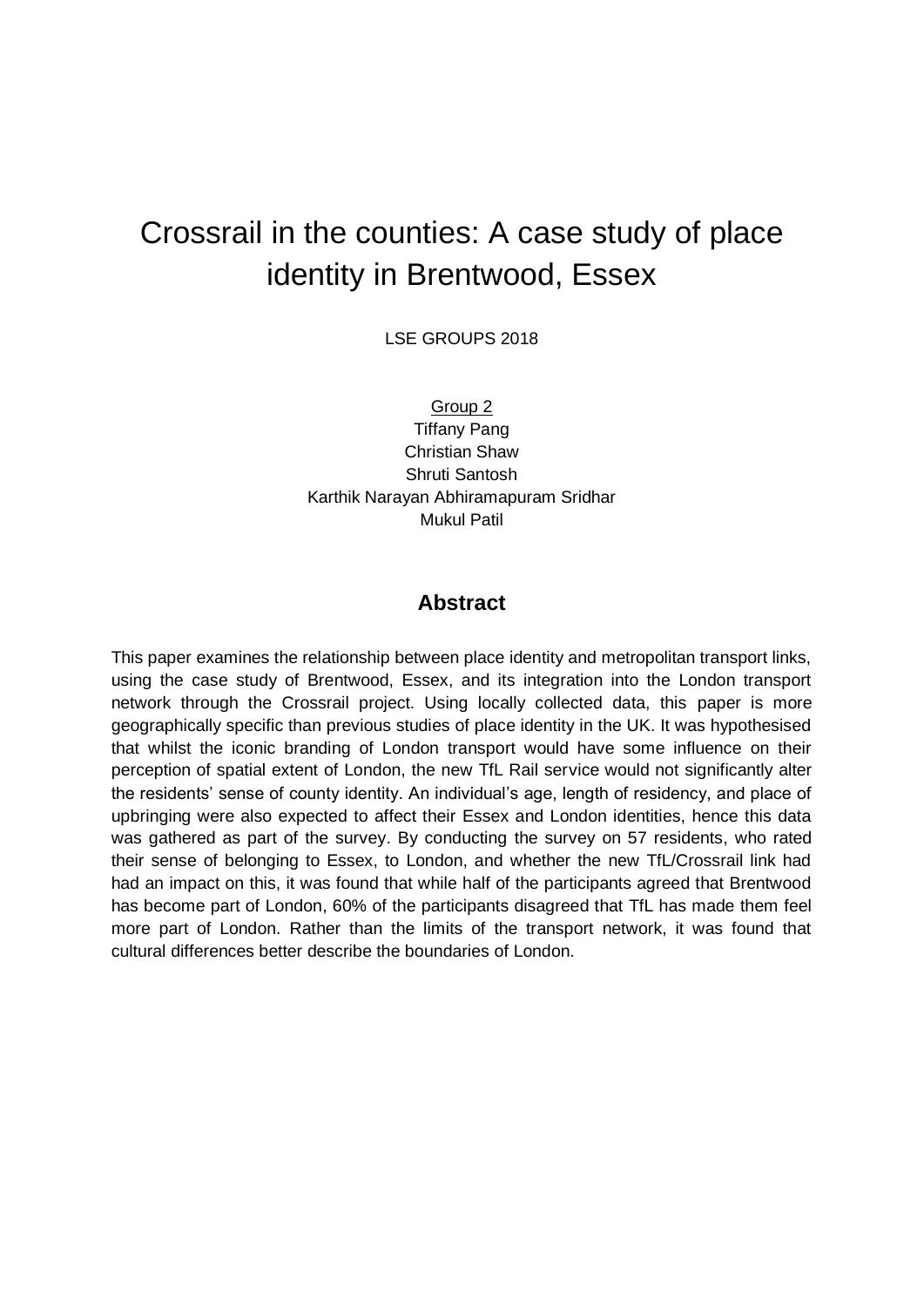# Crossrail in the counties: A case study of place identity in Brentwood, Essex

LSE GROUPS 2018

Group 2 Tiffany Pang Christian Shaw Shruti Santosh Karthik Narayan Abhiramapuram Sridhar Mukul Patil

#### **Abstract**

This paper examines the relationship between place identity and metropolitan transport links, using the case study of Brentwood, Essex, and its integration into the London transport network through the Crossrail project. Using locally collected data, this paper is more geographically specific than previous studies of place identity in the UK. It was hypothesised that whilst the iconic branding of London transport would have some influence on their perception of spatial extent of London, the new TfL Rail service would not significantly alter the residents' sense of county identity. An individual's age, length of residency, and place of upbringing were also expected to affect their Essex and London identities, hence this data was gathered as part of the survey. By conducting the survey on 57 residents, who rated their sense of belonging to Essex, to London, and whether the new TfL/Crossrail link had had an impact on this, it was found that while half of the participants agreed that Brentwood has become part of London, 60% of the participants disagreed that TfL has made them feel more part of London. Rather than the limits of the transport network, it was found that cultural differences better describe the boundaries of London.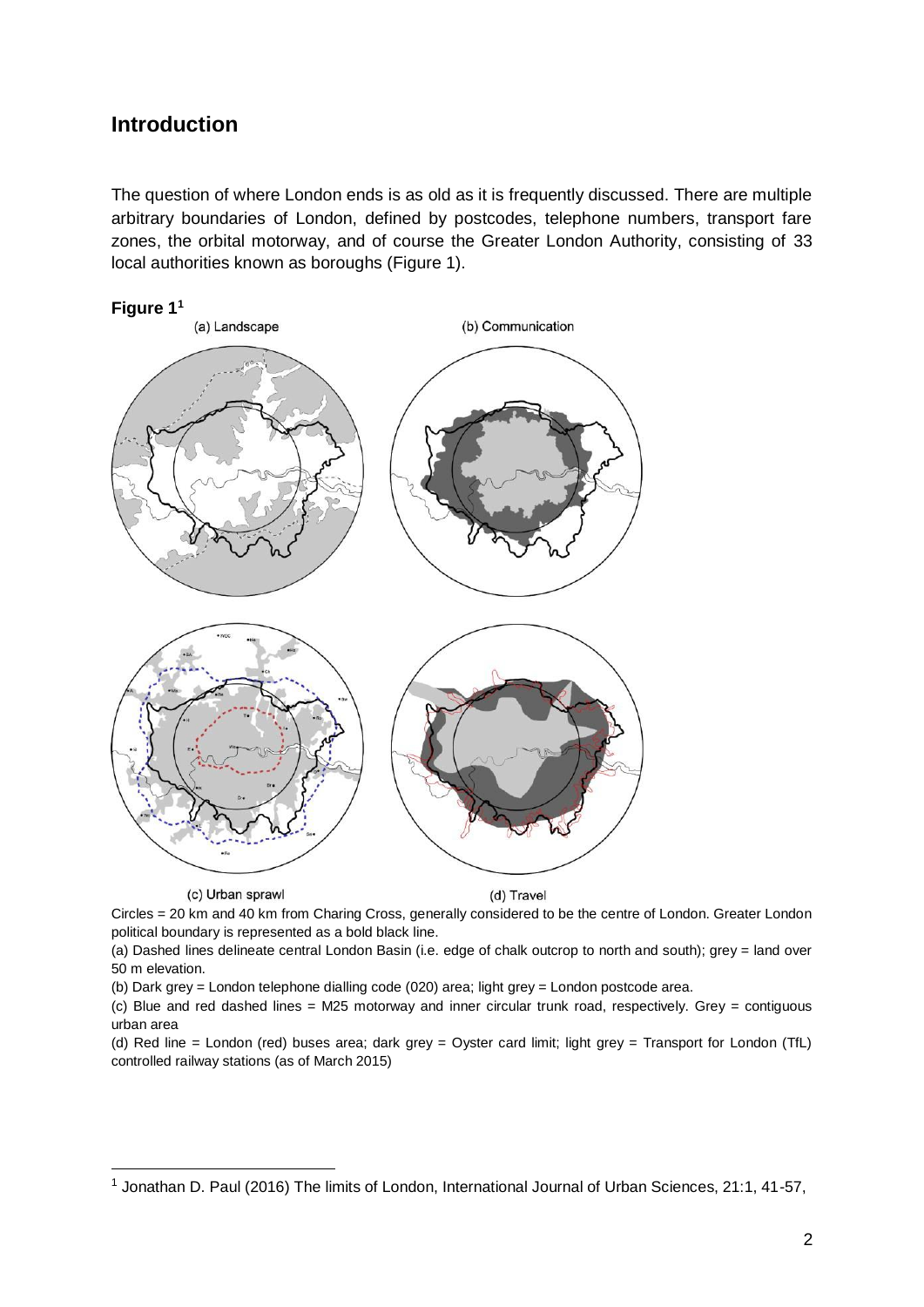### **Introduction**

The question of where London ends is as old as it is frequently discussed. There are multiple arbitrary boundaries of London, defined by postcodes, telephone numbers, transport fare zones, the orbital motorway, and of course the Greater London Authority, consisting of 33 local authorities known as boroughs (Figure 1).



(c) Urban sprawl

(d) Travel

Circles = 20 km and 40 km from Charing Cross, generally considered to be the centre of London. Greater London political boundary is represented as a bold black line.

(a) Dashed lines delineate central London Basin (i.e. edge of chalk outcrop to north and south); grey = land over 50 m elevation.

(b) Dark grey = London telephone dialling code (020) area; light grey = London postcode area.

(c) Blue and red dashed lines = M25 motorway and inner circular trunk road, respectively. Grey = contiguous urban area

(d) Red line = London (red) buses area; dark grey = Oyster card limit; light grey = Transport for London (TfL) controlled railway stations (as of March 2015)

<sup>&</sup>lt;sup>1</sup> Jonathan D. Paul (2016) The limits of London, International Journal of Urban Sciences, 21:1, 41-57,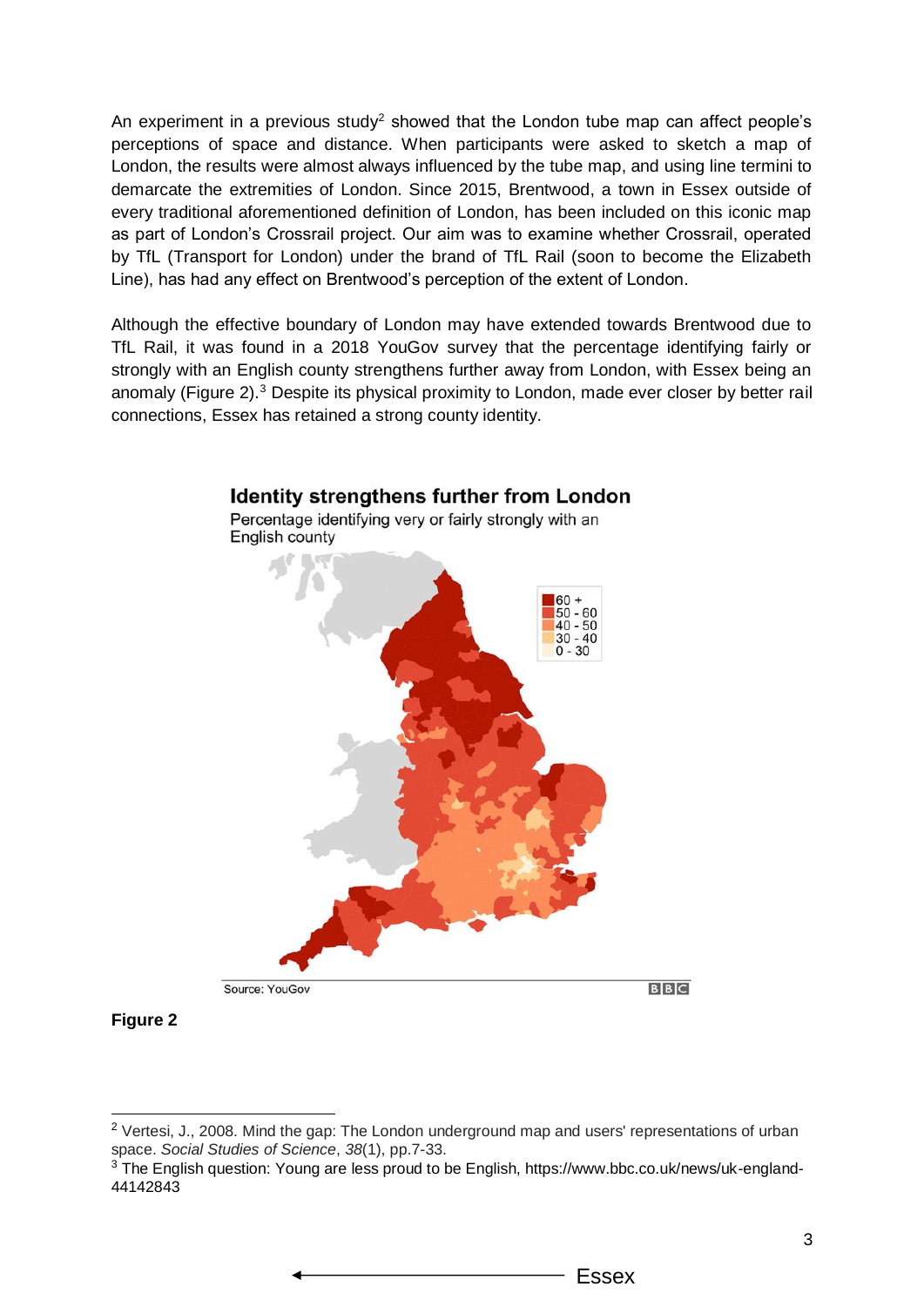An experiment in a previous study<sup>2</sup> showed that the London tube map can affect people's perceptions of space and distance. When participants were asked to sketch a map of London, the results were almost always influenced by the tube map, and using line termini to demarcate the extremities of London. Since 2015, Brentwood, a town in Essex outside of every traditional aforementioned definition of London, has been included on this iconic map as part of London's Crossrail project. Our aim was to examine whether Crossrail, operated by TfL (Transport for London) under the brand of TfL Rail (soon to become the Elizabeth Line), has had any effect on Brentwood's perception of the extent of London.

Although the effective boundary of London may have extended towards Brentwood due to TfL Rail, it was found in a 2018 YouGov survey that the percentage identifying fairly or strongly with an English county strengthens further away from London, with Essex being an anomaly (Figure 2).<sup>3</sup> Despite its physical proximity to London, made ever closer by better rail connections, Essex has retained a strong county identity.



**Figure 2**

<sup>&</sup>lt;sup>2</sup> Vertesi, J., 2008. Mind the gap: The London underground map and users' representations of urban space. *Social Studies of Science*, *38*(1), pp.7-33.

<sup>3</sup> The English question: Young are less proud to be English, https://www.bbc.co.uk/news/uk-england-44142843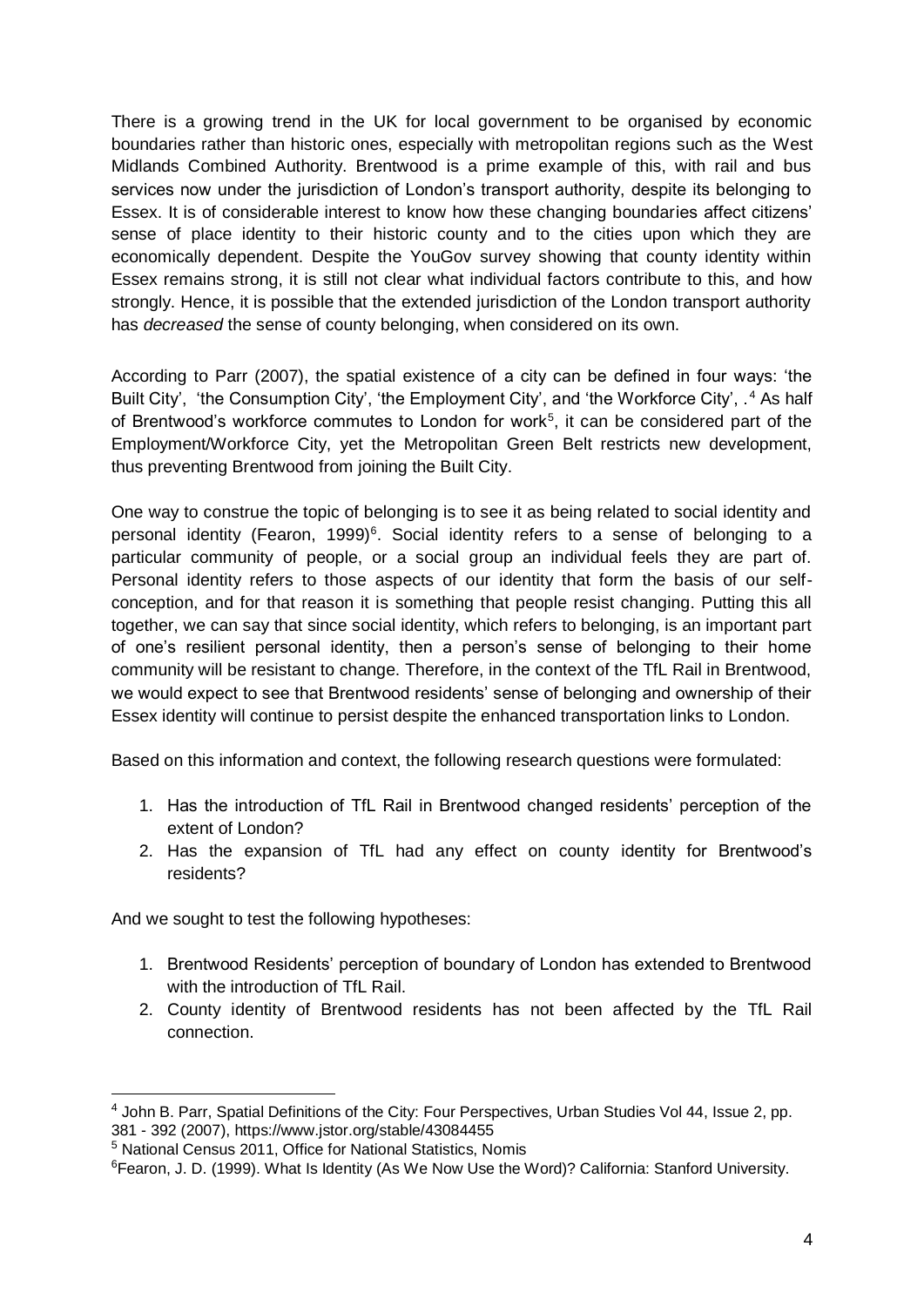There is a growing trend in the UK for local government to be organised by economic boundaries rather than historic ones, especially with metropolitan regions such as the West Midlands Combined Authority. Brentwood is a prime example of this, with rail and bus services now under the jurisdiction of London's transport authority, despite its belonging to Essex. It is of considerable interest to know how these changing boundaries affect citizens' sense of place identity to their historic county and to the cities upon which they are economically dependent. Despite the YouGov survey showing that county identity within Essex remains strong, it is still not clear what individual factors contribute to this, and how strongly. Hence, it is possible that the extended jurisdiction of the London transport authority has *decreased* the sense of county belonging, when considered on its own.

According to Parr (2007), the spatial existence of a city can be defined in four ways: 'the Built City', 'the Consumption City', 'the Employment City', and 'the Workforce City', .<sup>4</sup> As half of Brentwood's workforce commutes to London for work<sup>5</sup>, it can be considered part of the Employment/Workforce City, yet the Metropolitan Green Belt restricts new development, thus preventing Brentwood from joining the Built City.

One way to construe the topic of belonging is to see it as being related to social identity and personal identity (Fearon, 1999)<sup>6</sup>. Social identity refers to a sense of belonging to a particular community of people, or a social group an individual feels they are part of. Personal identity refers to those aspects of our identity that form the basis of our selfconception, and for that reason it is something that people resist changing. Putting this all together, we can say that since social identity, which refers to belonging, is an important part of one's resilient personal identity, then a person's sense of belonging to their home community will be resistant to change. Therefore, in the context of the TfL Rail in Brentwood, we would expect to see that Brentwood residents' sense of belonging and ownership of their Essex identity will continue to persist despite the enhanced transportation links to London.

Based on this information and context, the following research questions were formulated:

- 1. Has the introduction of TfL Rail in Brentwood changed residents' perception of the extent of London?
- 2. Has the expansion of TfL had any effect on county identity for Brentwood's residents?

And we sought to test the following hypotheses:

- 1. Brentwood Residents' perception of boundary of London has extended to Brentwood with the introduction of TfL Rail.
- 2. County identity of Brentwood residents has not been affected by the TfL Rail connection.

<sup>&</sup>lt;sup>4</sup> John B. Parr, Spatial Definitions of the City: Four Perspectives, Urban Studies Vol 44, Issue 2, pp. 381 - 392 (2007), https://www.jstor.org/stable/43084455

<sup>5</sup> National Census 2011, Office for National Statistics, Nomis

<sup>6</sup>Fearon, J. D. (1999). What Is Identity (As We Now Use the Word)? California: Stanford University.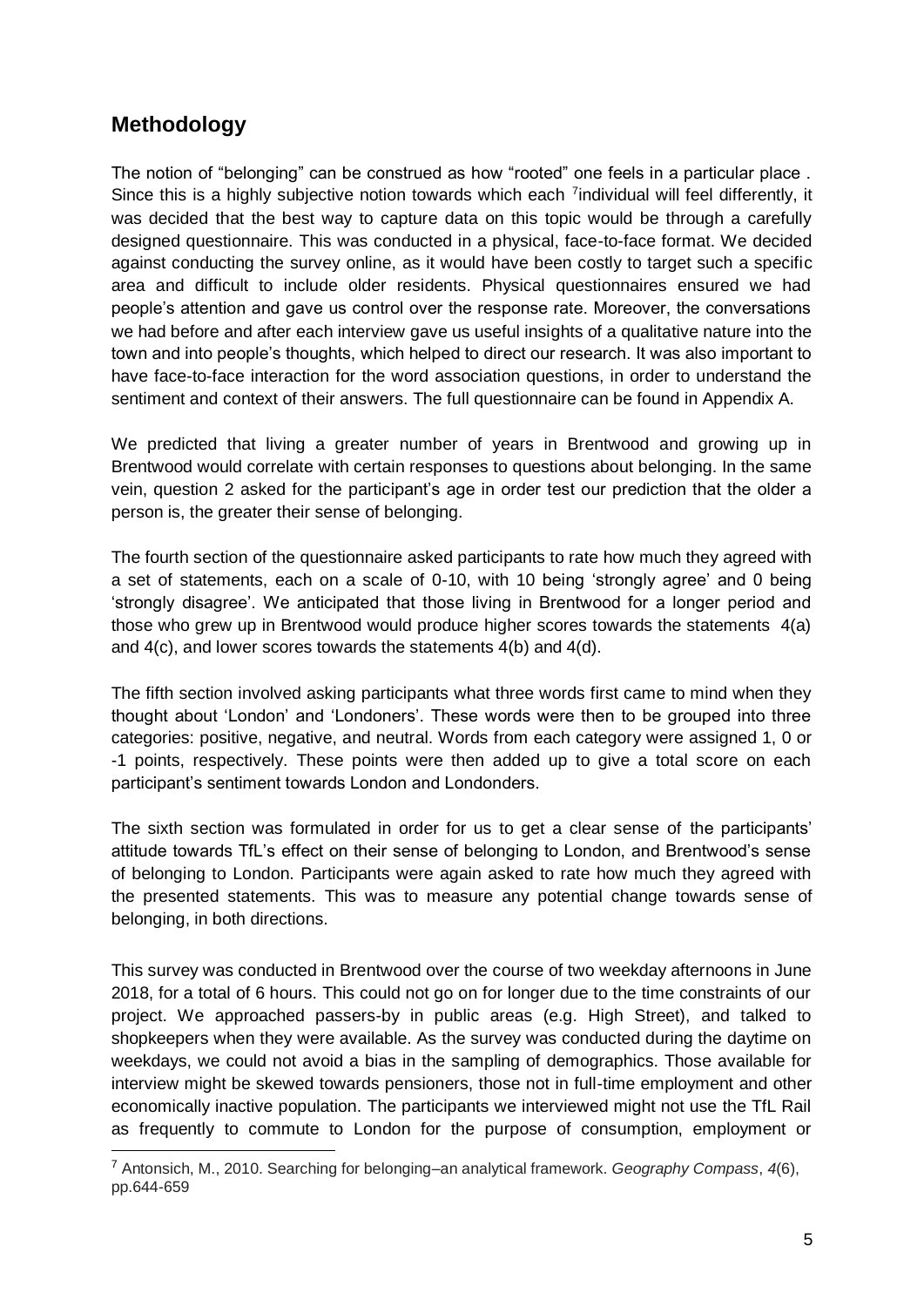### **Methodology**

The notion of "belonging" can be construed as how "rooted" one feels in a particular place . Since this is a highly subjective notion towards which each <sup>7</sup>individual will feel differently, it was decided that the best way to capture data on this topic would be through a carefully designed questionnaire. This was conducted in a physical, face-to-face format. We decided against conducting the survey online, as it would have been costly to target such a specific area and difficult to include older residents. Physical questionnaires ensured we had people's attention and gave us control over the response rate. Moreover, the conversations we had before and after each interview gave us useful insights of a qualitative nature into the town and into people's thoughts, which helped to direct our research. It was also important to have face-to-face interaction for the word association questions, in order to understand the sentiment and context of their answers. The full questionnaire can be found in Appendix A.

We predicted that living a greater number of years in Brentwood and growing up in Brentwood would correlate with certain responses to questions about belonging. In the same vein, question 2 asked for the participant's age in order test our prediction that the older a person is, the greater their sense of belonging.

The fourth section of the questionnaire asked participants to rate how much they agreed with a set of statements, each on a scale of 0-10, with 10 being 'strongly agree' and 0 being 'strongly disagree'. We anticipated that those living in Brentwood for a longer period and those who grew up in Brentwood would produce higher scores towards the statements 4(a) and 4(c), and lower scores towards the statements 4(b) and 4(d).

The fifth section involved asking participants what three words first came to mind when they thought about 'London' and 'Londoners'. These words were then to be grouped into three categories: positive, negative, and neutral. Words from each category were assigned 1, 0 or -1 points, respectively. These points were then added up to give a total score on each participant's sentiment towards London and Londonders.

The sixth section was formulated in order for us to get a clear sense of the participants' attitude towards TfL's effect on their sense of belonging to London, and Brentwood's sense of belonging to London. Participants were again asked to rate how much they agreed with the presented statements. This was to measure any potential change towards sense of belonging, in both directions.

This survey was conducted in Brentwood over the course of two weekday afternoons in June 2018, for a total of 6 hours. This could not go on for longer due to the time constraints of our project. We approached passers-by in public areas (e.g. High Street), and talked to shopkeepers when they were available. As the survey was conducted during the daytime on weekdays, we could not avoid a bias in the sampling of demographics. Those available for interview might be skewed towards pensioners, those not in full-time employment and other economically inactive population. The participants we interviewed might not use the TfL Rail as frequently to commute to London for the purpose of consumption, employment or

<sup>7</sup> Antonsich, M., 2010. Searching for belonging–an analytical framework. *Geography Compass*, *4*(6), pp.644-659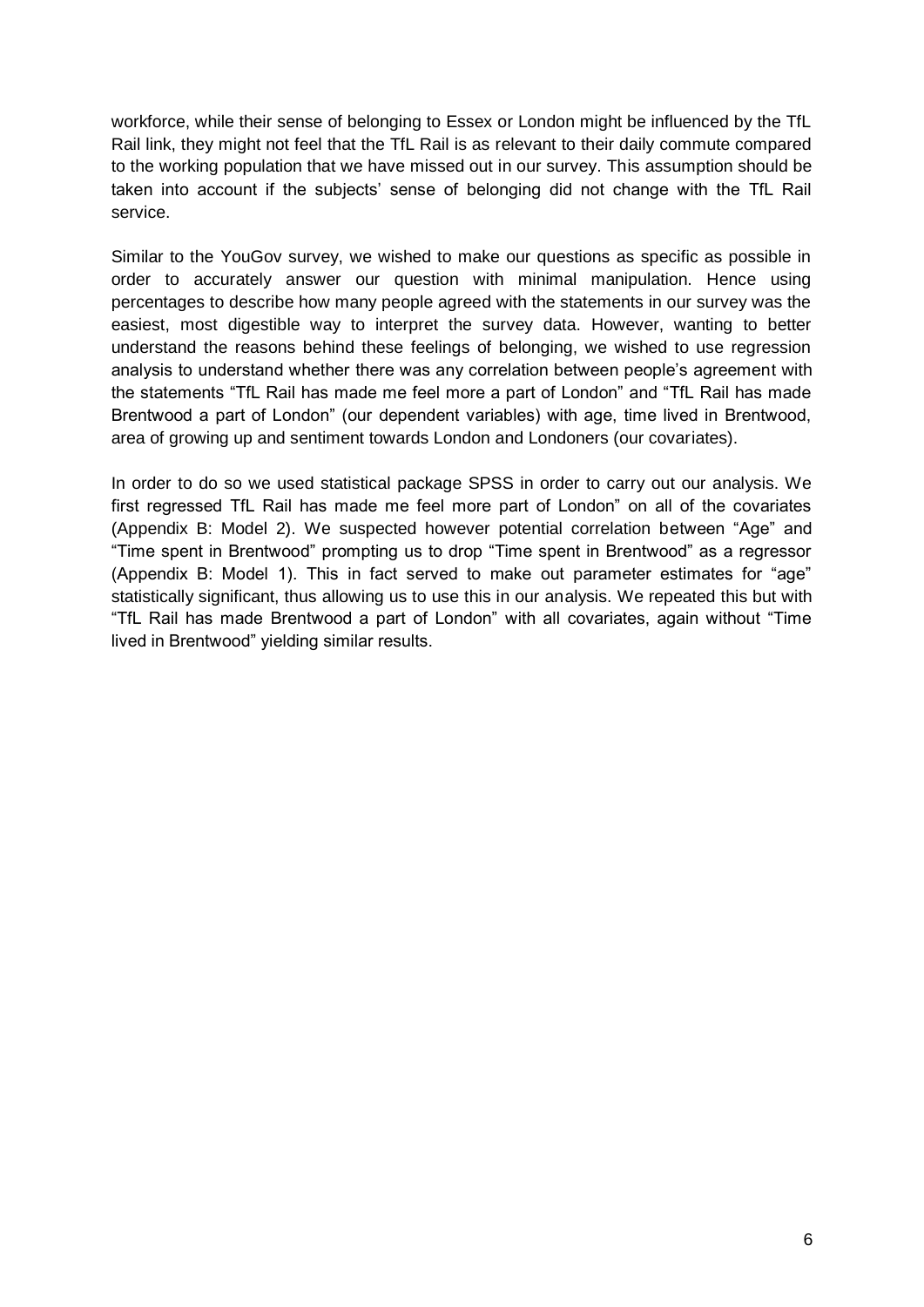workforce, while their sense of belonging to Essex or London might be influenced by the TfL Rail link, they might not feel that the TfL Rail is as relevant to their daily commute compared to the working population that we have missed out in our survey. This assumption should be taken into account if the subjects' sense of belonging did not change with the TfL Rail service.

Similar to the YouGov survey, we wished to make our questions as specific as possible in order to accurately answer our question with minimal manipulation. Hence using percentages to describe how many people agreed with the statements in our survey was the easiest, most digestible way to interpret the survey data. However, wanting to better understand the reasons behind these feelings of belonging, we wished to use regression analysis to understand whether there was any correlation between people's agreement with the statements "TfL Rail has made me feel more a part of London" and "TfL Rail has made Brentwood a part of London" (our dependent variables) with age, time lived in Brentwood, area of growing up and sentiment towards London and Londoners (our covariates).

In order to do so we used statistical package SPSS in order to carry out our analysis. We first regressed TfL Rail has made me feel more part of London" on all of the covariates (Appendix B: Model 2). We suspected however potential correlation between "Age" and "Time spent in Brentwood" prompting us to drop "Time spent in Brentwood" as a regressor (Appendix B: Model 1). This in fact served to make out parameter estimates for "age" statistically significant, thus allowing us to use this in our analysis. We repeated this but with "TfL Rail has made Brentwood a part of London" with all covariates, again without "Time lived in Brentwood" yielding similar results.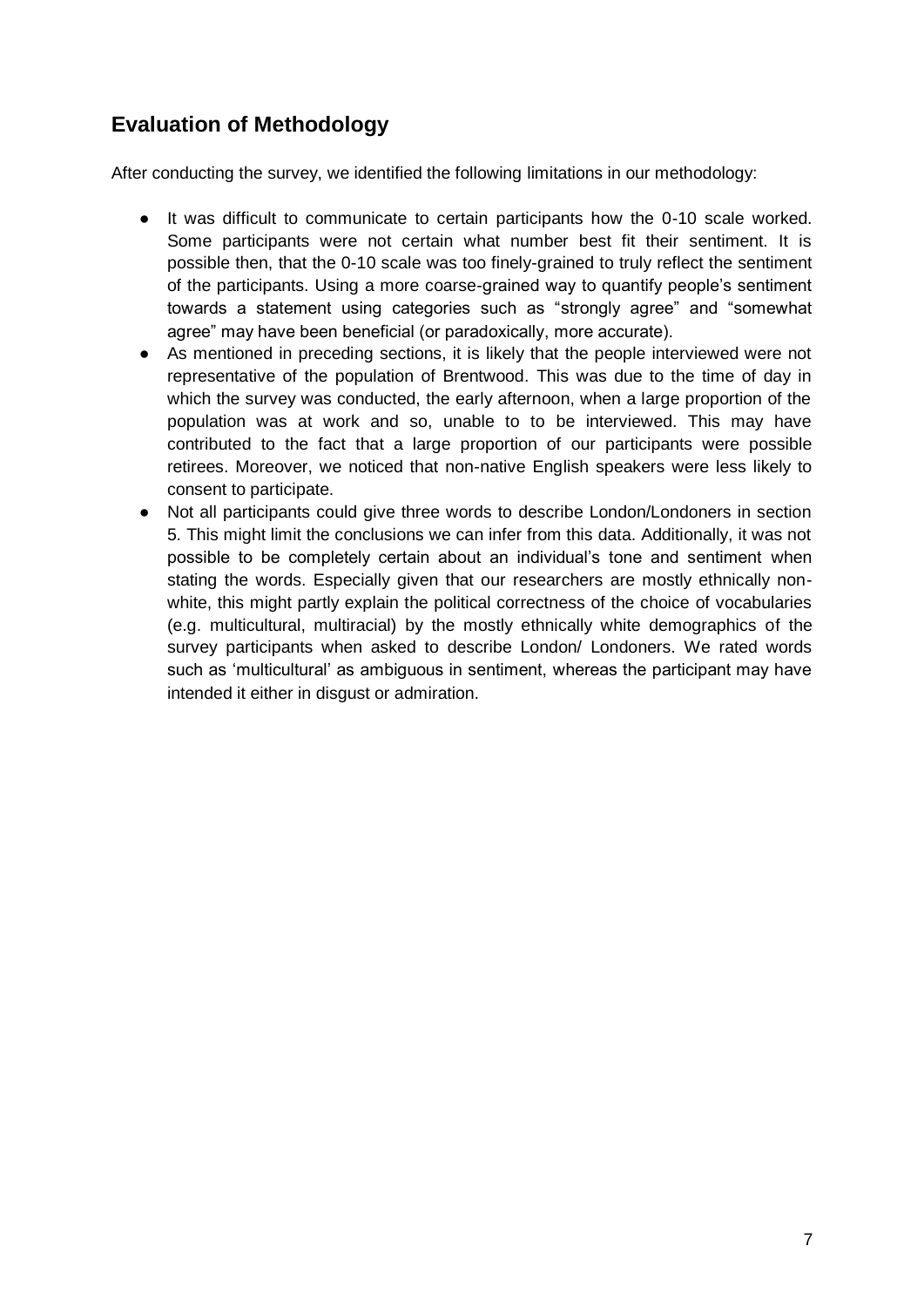### **Evaluation of Methodology**

After conducting the survey, we identified the following limitations in our methodology:

- It was difficult to communicate to certain participants how the 0-10 scale worked. Some participants were not certain what number best fit their sentiment. It is possible then, that the 0-10 scale was too finely-grained to truly reflect the sentiment of the participants. Using a more coarse-grained way to quantify people's sentiment towards a statement using categories such as "strongly agree" and "somewhat agree" may have been beneficial (or paradoxically, more accurate).
- As mentioned in preceding sections, it is likely that the people interviewed were not representative of the population of Brentwood. This was due to the time of day in which the survey was conducted, the early afternoon, when a large proportion of the population was at work and so, unable to to be interviewed. This may have contributed to the fact that a large proportion of our participants were possible retirees. Moreover, we noticed that non-native English speakers were less likely to consent to participate.
- Not all participants could give three words to describe London/Londoners in section 5. This might limit the conclusions we can infer from this data. Additionally, it was not possible to be completely certain about an individual's tone and sentiment when stating the words. Especially given that our researchers are mostly ethnically nonwhite, this might partly explain the political correctness of the choice of vocabularies (e.g. multicultural, multiracial) by the mostly ethnically white demographics of the survey participants when asked to describe London/ Londoners. We rated words such as 'multicultural' as ambiguous in sentiment, whereas the participant may have intended it either in disgust or admiration.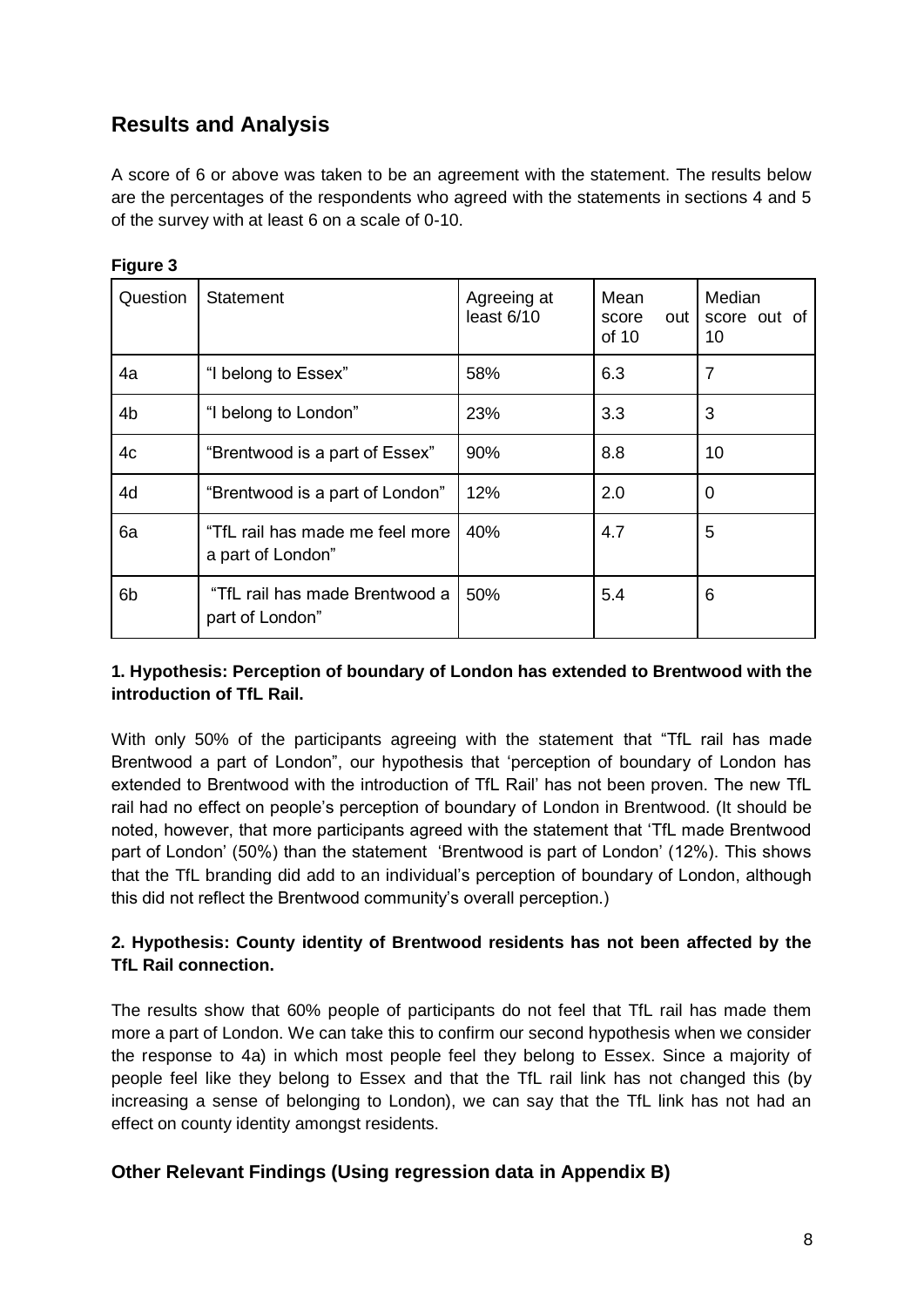### **Results and Analysis**

A score of 6 or above was taken to be an agreement with the statement. The results below are the percentages of the respondents who agreed with the statements in sections 4 and 5 of the survey with at least 6 on a scale of 0-10.

| Question       | <b>Statement</b>                                     | Agreeing at<br>least 6/10 | Mean<br>out<br>score<br>of 10 | Median<br>score out of<br>10 |
|----------------|------------------------------------------------------|---------------------------|-------------------------------|------------------------------|
| 4a             | "I belong to Essex"                                  | 58%                       | 6.3                           | $\overline{7}$               |
| 4b             | "I belong to London"                                 | 23%                       | 3.3                           | 3                            |
| 4c             | "Brentwood is a part of Essex"                       | 90%                       | 8.8                           | 10                           |
| 4d             | "Brentwood is a part of London"                      | 12%                       | 2.0                           | 0                            |
| 6a             | "TfL rail has made me feel more<br>a part of London" | 40%                       | 4.7                           | 5                            |
| 6 <sub>b</sub> | "TfL rail has made Brentwood a<br>part of London"    | 50%                       | 5.4                           | 6                            |

#### **Figure 3**

#### **1. Hypothesis: Perception of boundary of London has extended to Brentwood with the introduction of TfL Rail.**

With only 50% of the participants agreeing with the statement that "TfL rail has made Brentwood a part of London", our hypothesis that 'perception of boundary of London has extended to Brentwood with the introduction of TfL Rail' has not been proven. The new TfL rail had no effect on people's perception of boundary of London in Brentwood. (It should be noted, however, that more participants agreed with the statement that 'TfL made Brentwood part of London' (50%) than the statement 'Brentwood is part of London' (12%). This shows that the TfL branding did add to an individual's perception of boundary of London, although this did not reflect the Brentwood community's overall perception.)

#### **2. Hypothesis: County identity of Brentwood residents has not been affected by the TfL Rail connection.**

The results show that 60% people of participants do not feel that TfL rail has made them more a part of London. We can take this to confirm our second hypothesis when we consider the response to 4a) in which most people feel they belong to Essex. Since a majority of people feel like they belong to Essex and that the TfL rail link has not changed this (by increasing a sense of belonging to London), we can say that the TfL link has not had an effect on county identity amongst residents.

#### **Other Relevant Findings (Using regression data in Appendix B)**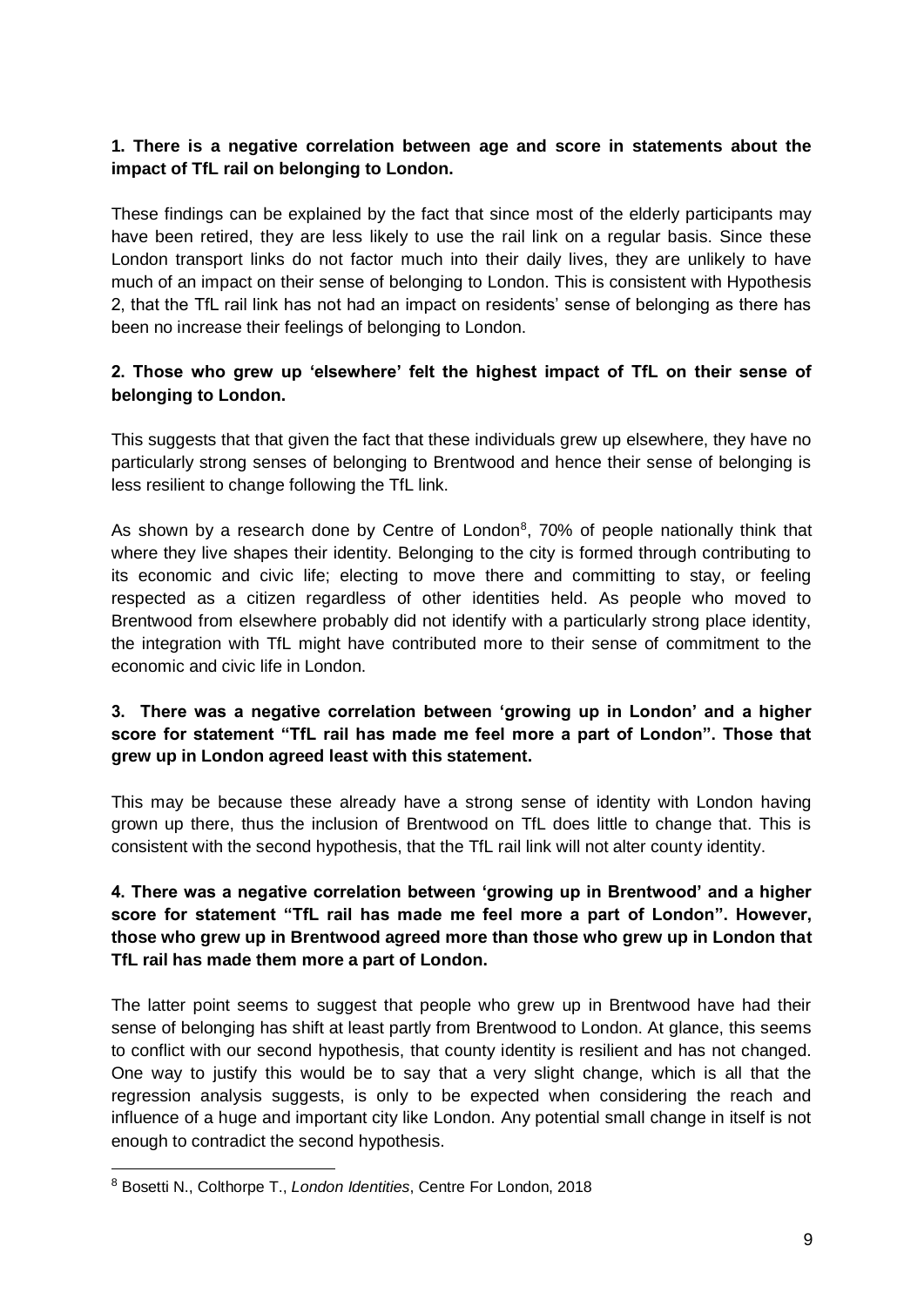#### **1. There is a negative correlation between age and score in statements about the impact of TfL rail on belonging to London.**

These findings can be explained by the fact that since most of the elderly participants may have been retired, they are less likely to use the rail link on a regular basis. Since these London transport links do not factor much into their daily lives, they are unlikely to have much of an impact on their sense of belonging to London. This is consistent with Hypothesis 2, that the TfL rail link has not had an impact on residents' sense of belonging as there has been no increase their feelings of belonging to London.

#### **2. Those who grew up 'elsewhere' felt the highest impact of TfL on their sense of belonging to London.**

This suggests that that given the fact that these individuals grew up elsewhere, they have no particularly strong senses of belonging to Brentwood and hence their sense of belonging is less resilient to change following the TfL link.

As shown by a research done by Centre of London<sup>8</sup>, 70% of people nationally think that where they live shapes their identity. Belonging to the city is formed through contributing to its economic and civic life; electing to move there and committing to stay, or feeling respected as a citizen regardless of other identities held. As people who moved to Brentwood from elsewhere probably did not identify with a particularly strong place identity, the integration with TfL might have contributed more to their sense of commitment to the economic and civic life in London.

#### **3. There was a negative correlation between 'growing up in London' and a higher score for statement "TfL rail has made me feel more a part of London". Those that grew up in London agreed least with this statement.**

This may be because these already have a strong sense of identity with London having grown up there, thus the inclusion of Brentwood on TfL does little to change that. This is consistent with the second hypothesis, that the TfL rail link will not alter county identity.

#### **4. There was a negative correlation between 'growing up in Brentwood' and a higher score for statement "TfL rail has made me feel more a part of London". However, those who grew up in Brentwood agreed more than those who grew up in London that TfL rail has made them more a part of London.**

The latter point seems to suggest that people who grew up in Brentwood have had their sense of belonging has shift at least partly from Brentwood to London. At glance, this seems to conflict with our second hypothesis, that county identity is resilient and has not changed. One way to justify this would be to say that a very slight change, which is all that the regression analysis suggests, is only to be expected when considering the reach and influence of a huge and important city like London. Any potential small change in itself is not enough to contradict the second hypothesis.

<sup>8</sup> Bosetti N., Colthorpe T., *London Identities*, Centre For London, 2018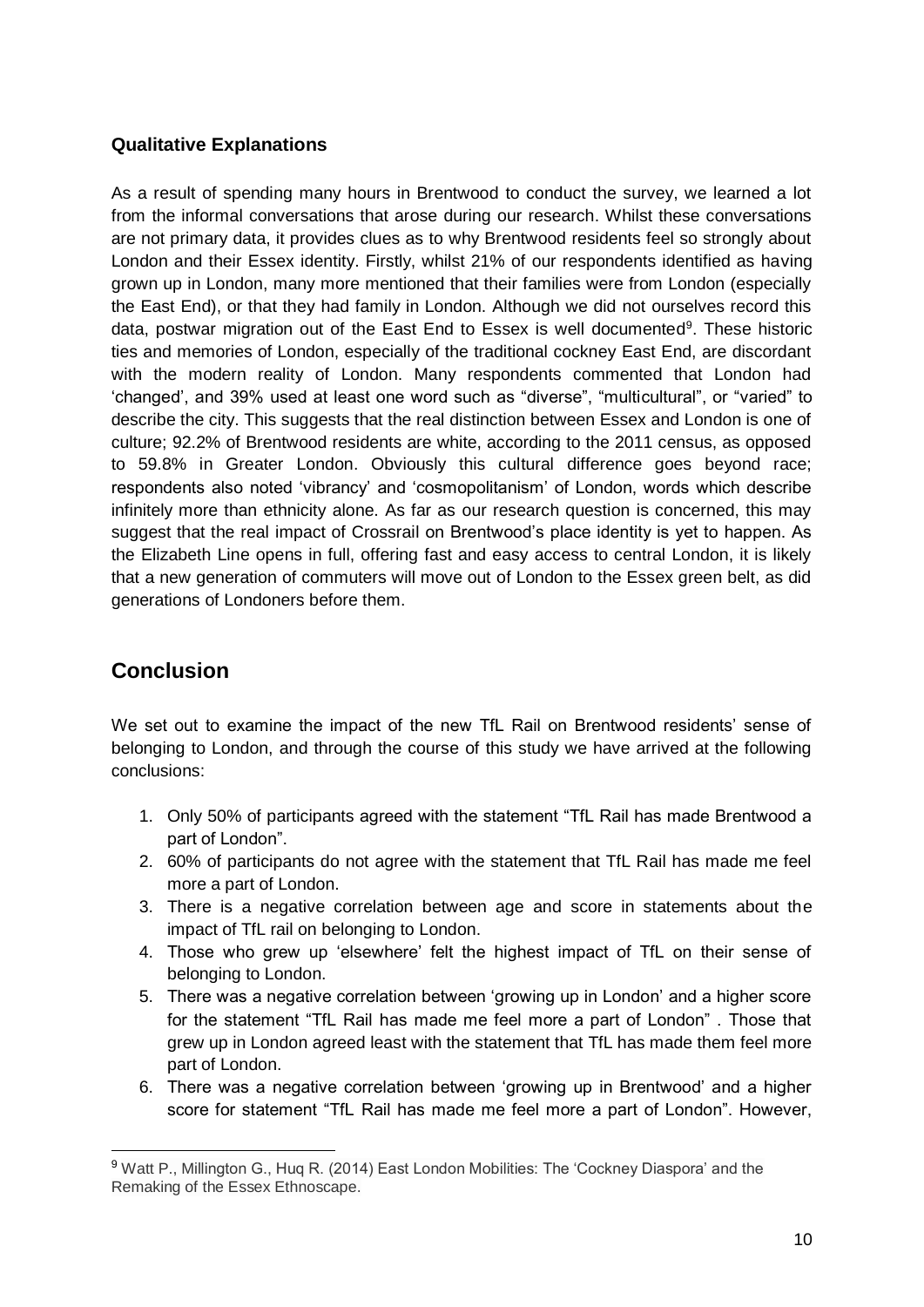#### **Qualitative Explanations**

As a result of spending many hours in Brentwood to conduct the survey, we learned a lot from the informal conversations that arose during our research. Whilst these conversations are not primary data, it provides clues as to why Brentwood residents feel so strongly about London and their Essex identity. Firstly, whilst 21% of our respondents identified as having grown up in London, many more mentioned that their families were from London (especially the East End), or that they had family in London. Although we did not ourselves record this data, postwar migration out of the East End to Essex is well documented<sup>9</sup>. These historic ties and memories of London, especially of the traditional cockney East End, are discordant with the modern reality of London. Many respondents commented that London had 'changed', and 39% used at least one word such as "diverse", "multicultural", or "varied" to describe the city. This suggests that the real distinction between Essex and London is one of culture; 92.2% of Brentwood residents are white, according to the 2011 census, as opposed to 59.8% in Greater London. Obviously this cultural difference goes beyond race; respondents also noted 'vibrancy' and 'cosmopolitanism' of London, words which describe infinitely more than ethnicity alone. As far as our research question is concerned, this may suggest that the real impact of Crossrail on Brentwood's place identity is yet to happen. As the Elizabeth Line opens in full, offering fast and easy access to central London, it is likely that a new generation of commuters will move out of London to the Essex green belt, as did generations of Londoners before them.

### **Conclusion**

We set out to examine the impact of the new TfL Rail on Brentwood residents' sense of belonging to London, and through the course of this study we have arrived at the following conclusions:

- 1. Only 50% of participants agreed with the statement "TfL Rail has made Brentwood a part of London".
- 2. 60% of participants do not agree with the statement that TfL Rail has made me feel more a part of London.
- 3. There is a negative correlation between age and score in statements about the impact of TfL rail on belonging to London.
- 4. Those who grew up 'elsewhere' felt the highest impact of TfL on their sense of belonging to London.
- 5. There was a negative correlation between 'growing up in London' and a higher score for the statement "TfL Rail has made me feel more a part of London" . Those that grew up in London agreed least with the statement that TfL has made them feel more part of London.
- 6. There was a negative correlation between 'growing up in Brentwood' and a higher score for statement "TfL Rail has made me feel more a part of London". However,

<sup>9</sup> Watt P., Millington G., Huq R. (2014) East London Mobilities: The 'Cockney Diaspora' and the Remaking of the Essex Ethnoscape.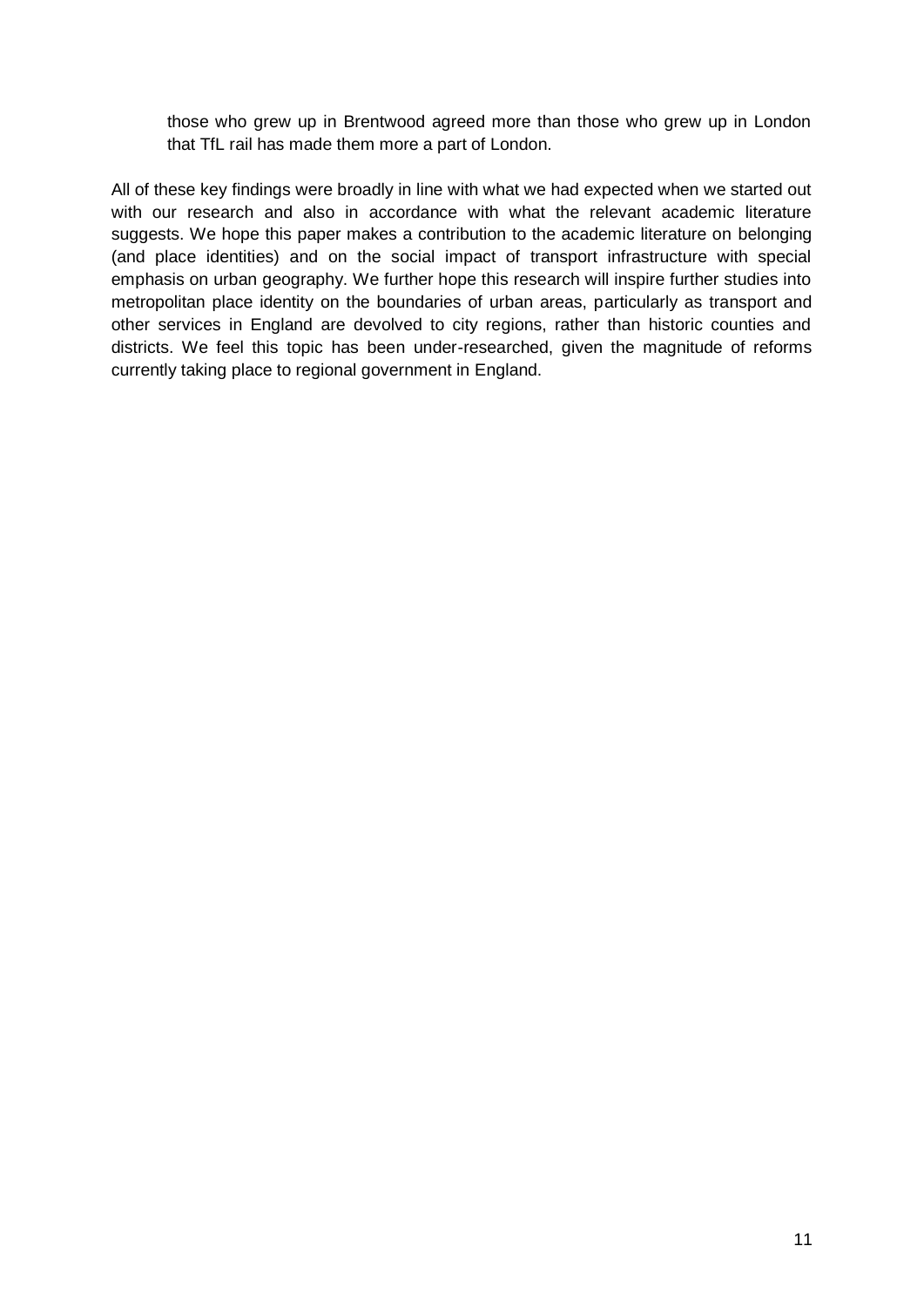those who grew up in Brentwood agreed more than those who grew up in London that TfL rail has made them more a part of London.

All of these key findings were broadly in line with what we had expected when we started out with our research and also in accordance with what the relevant academic literature suggests. We hope this paper makes a contribution to the academic literature on belonging (and place identities) and on the social impact of transport infrastructure with special emphasis on urban geography. We further hope this research will inspire further studies into metropolitan place identity on the boundaries of urban areas, particularly as transport and other services in England are devolved to city regions, rather than historic counties and districts. We feel this topic has been under-researched, given the magnitude of reforms currently taking place to regional government in England.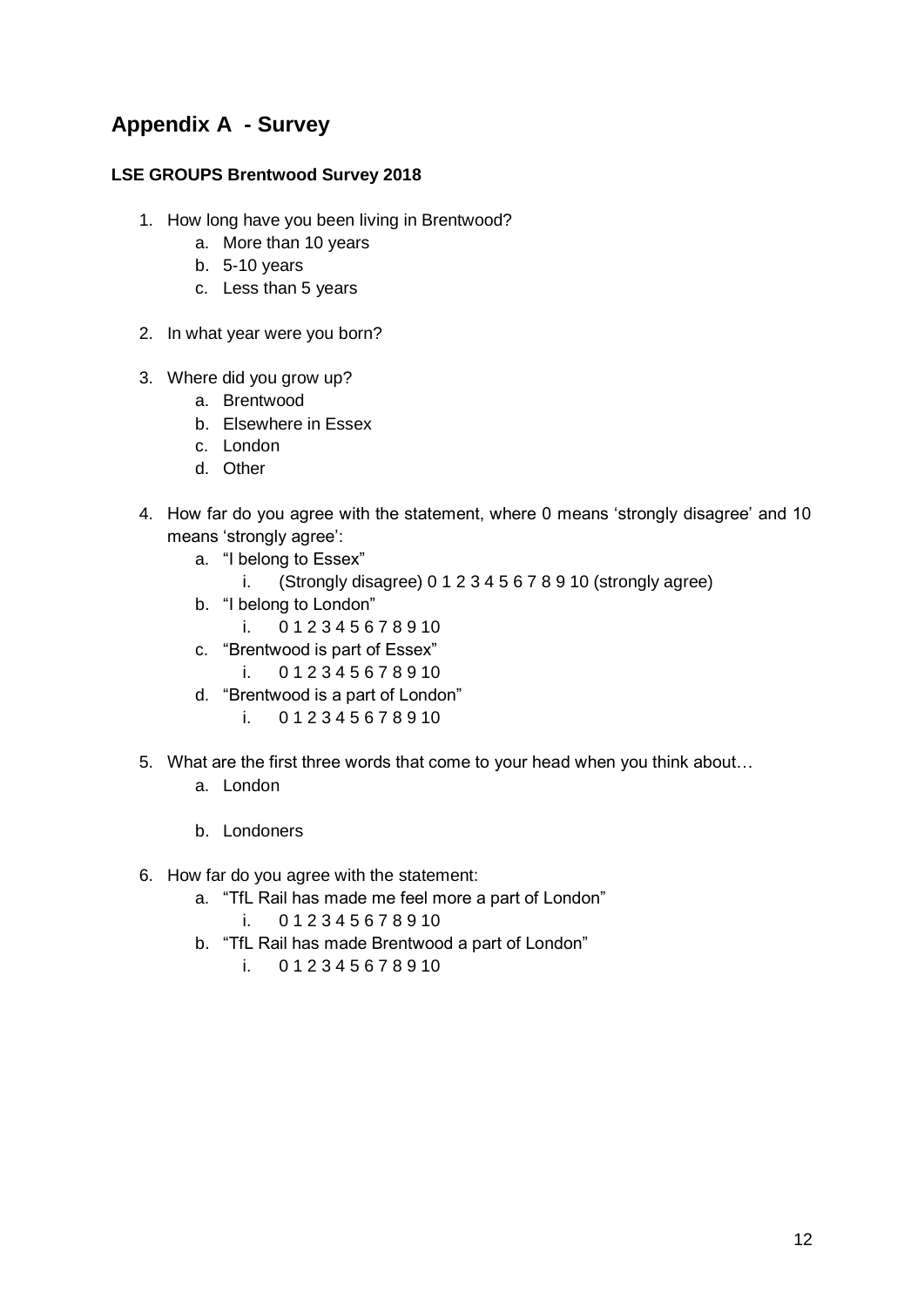### **Appendix A - Survey**

#### **LSE GROUPS Brentwood Survey 2018**

- 1. How long have you been living in Brentwood?
	- a. More than 10 years
	- b. 5-10 years
	- c. Less than 5 years
- 2. In what year were you born?
- 3. Where did you grow up?
	- a. Brentwood
	- b. Elsewhere in Essex
	- c. London
	- d. Other
- 4. How far do you agree with the statement, where 0 means 'strongly disagree' and 10 means 'strongly agree':
	- a. "I belong to Essex"
		- i. (Strongly disagree) 0 1 2 3 4 5 6 7 8 9 10 (strongly agree)
	- b. "I belong to London"
		- i. 0 1 2 3 4 5 6 7 8 9 10
	- c. "Brentwood is part of Essex"
		- i. 0 1 2 3 4 5 6 7 8 9 10
	- d. "Brentwood is a part of London"
		- i. 0 1 2 3 4 5 6 7 8 9 10
- 5. What are the first three words that come to your head when you think about…
	- a. London
	- b. Londoners
- 6. How far do you agree with the statement:
	- a. "TfL Rail has made me feel more a part of London"
		- i. 0 1 2 3 4 5 6 7 8 9 10
	- b. "TfL Rail has made Brentwood a part of London"
		- i. 0 1 2 3 4 5 6 7 8 9 10